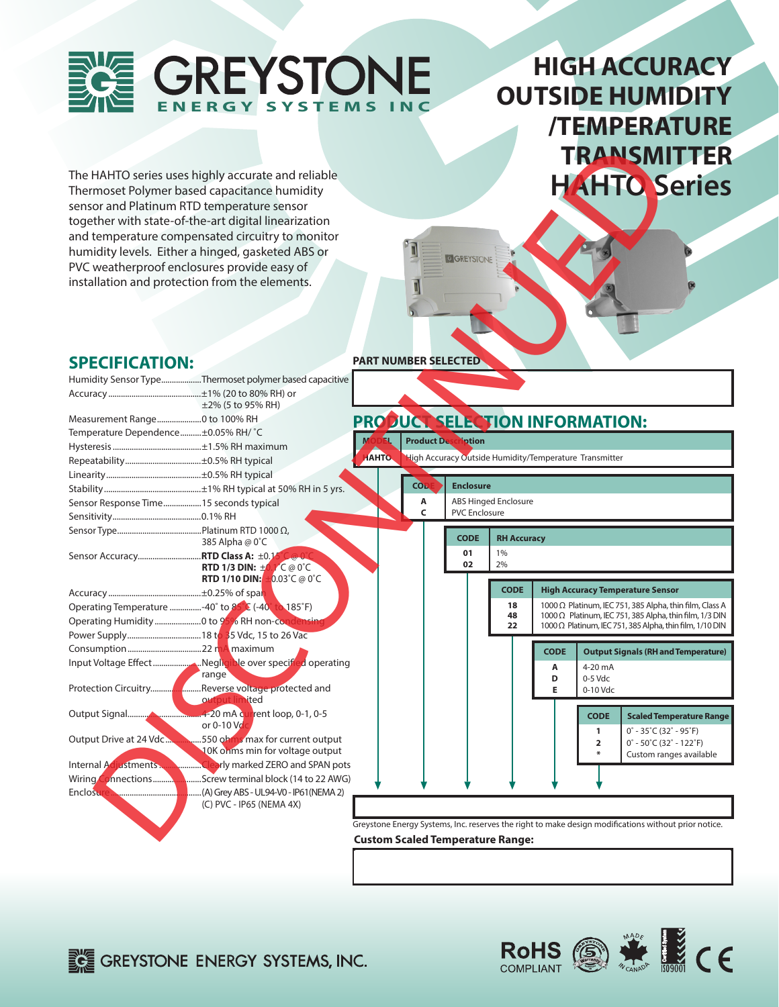

# **HIGH ACCURACY OUTSIDE HUMIDITY /TEMPERATURE TRANSMITTER HAHTO Series**

#### **SPECIFICATION:**

|                                        |                                                                                                                                                                                                                                                     |                                                                                                      |                            |                             |             |                                                        |                                                                                             | <b>TRANSMITTER</b>                                                                                                        |
|----------------------------------------|-----------------------------------------------------------------------------------------------------------------------------------------------------------------------------------------------------------------------------------------------------|------------------------------------------------------------------------------------------------------|----------------------------|-----------------------------|-------------|--------------------------------------------------------|---------------------------------------------------------------------------------------------|---------------------------------------------------------------------------------------------------------------------------|
|                                        | The HAHTO series uses highly accurate and reliable                                                                                                                                                                                                  |                                                                                                      |                            |                             |             |                                                        |                                                                                             |                                                                                                                           |
|                                        | Thermoset Polymer based capacitance humidity                                                                                                                                                                                                        |                                                                                                      |                            |                             |             |                                                        |                                                                                             | <b>HAHTO Series</b>                                                                                                       |
|                                        | sensor and Platinum RTD temperature sensor                                                                                                                                                                                                          |                                                                                                      |                            |                             |             |                                                        |                                                                                             |                                                                                                                           |
|                                        | together with state-of-the-art digital linearization                                                                                                                                                                                                |                                                                                                      |                            |                             |             |                                                        |                                                                                             |                                                                                                                           |
|                                        |                                                                                                                                                                                                                                                     |                                                                                                      |                            |                             |             |                                                        |                                                                                             |                                                                                                                           |
|                                        | and temperature compensated circuitry to monitor                                                                                                                                                                                                    |                                                                                                      |                            |                             |             |                                                        |                                                                                             |                                                                                                                           |
|                                        | humidity levels. Either a hinged, gasketed ABS or                                                                                                                                                                                                   |                                                                                                      | <b>G GREYSTONE</b>         |                             |             |                                                        |                                                                                             |                                                                                                                           |
|                                        | PVC weatherproof enclosures provide easy of                                                                                                                                                                                                         |                                                                                                      |                            |                             |             |                                                        |                                                                                             |                                                                                                                           |
|                                        | installation and protection from the elements.                                                                                                                                                                                                      |                                                                                                      |                            |                             |             |                                                        |                                                                                             |                                                                                                                           |
| <b>SPECIFICATION:</b>                  |                                                                                                                                                                                                                                                     | <b>PART NUMBER SELECTED</b>                                                                          |                            |                             |             |                                                        |                                                                                             |                                                                                                                           |
|                                        | Humidity Sensor TypeThermoset polymer based capacitive                                                                                                                                                                                              |                                                                                                      |                            |                             |             |                                                        |                                                                                             |                                                                                                                           |
|                                        | $\pm$ 2% (5 to 95% RH)                                                                                                                                                                                                                              |                                                                                                      |                            |                             |             |                                                        |                                                                                             |                                                                                                                           |
|                                        |                                                                                                                                                                                                                                                     | PRODUCT SELECTION INFORMATION:                                                                       |                            |                             |             |                                                        |                                                                                             |                                                                                                                           |
| Temperature Dependence±0.05% RH/ °C    |                                                                                                                                                                                                                                                     |                                                                                                      |                            |                             |             |                                                        |                                                                                             |                                                                                                                           |
|                                        |                                                                                                                                                                                                                                                     |                                                                                                      | <b>Product Description</b> |                             |             |                                                        |                                                                                             |                                                                                                                           |
|                                        |                                                                                                                                                                                                                                                     | <b>AHTO.</b>                                                                                         |                            |                             |             | High Accuracy Outside Humidity/Temperature Transmitter |                                                                                             |                                                                                                                           |
|                                        |                                                                                                                                                                                                                                                     |                                                                                                      |                            |                             |             |                                                        |                                                                                             |                                                                                                                           |
|                                        |                                                                                                                                                                                                                                                     | <b>COL</b>                                                                                           | <b>Enclosure</b>           |                             |             |                                                        |                                                                                             |                                                                                                                           |
| Sensor Response Time15 seconds typical |                                                                                                                                                                                                                                                     | Α                                                                                                    |                            | <b>ABS Hinged Enclosure</b> |             |                                                        |                                                                                             |                                                                                                                           |
|                                        |                                                                                                                                                                                                                                                     | C                                                                                                    | <b>PVC Enclosure</b>       |                             |             |                                                        |                                                                                             |                                                                                                                           |
|                                        | 385 Alpha @ 0°C                                                                                                                                                                                                                                     |                                                                                                      | <b>CODE</b>                | <b>RH Accuracy</b>          |             |                                                        |                                                                                             |                                                                                                                           |
| Sensor Accuracy RTD Class A: ±0.1      | RTD 1/3 DIN: $\pm 0.1^{\circ}$ C @ 0°C                                                                                                                                                                                                              |                                                                                                      | 01<br>02                   | 1%<br>2%                    |             |                                                        |                                                                                             |                                                                                                                           |
|                                        | <b>RTD 1/10 DIN:</b> $\pm 0.03^{\circ}$ C @ 0°C                                                                                                                                                                                                     |                                                                                                      |                            |                             |             |                                                        |                                                                                             |                                                                                                                           |
|                                        |                                                                                                                                                                                                                                                     |                                                                                                      |                            | <b>CODE</b>                 |             | <b>High Accuracy Temperature Sensor</b>                |                                                                                             |                                                                                                                           |
|                                        | Operating Temperature -40° to 85° E (-40° to 185°F)                                                                                                                                                                                                 |                                                                                                      |                            | 18<br>48                    |             |                                                        |                                                                                             | 1000 Ω Platinum, IEC 751, 385 Alpha, thin film, Class A<br>1000 $\Omega$ Platinum, IEC 751, 385 Alpha, thin film, 1/3 DIN |
|                                        |                                                                                                                                                                                                                                                     |                                                                                                      |                            | 22                          |             |                                                        |                                                                                             | 1000 Ω Platinum, IEC 751, 385 Alpha, thin film, 1/10 DIN                                                                  |
|                                        |                                                                                                                                                                                                                                                     |                                                                                                      |                            |                             |             |                                                        |                                                                                             |                                                                                                                           |
|                                        |                                                                                                                                                                                                                                                     |                                                                                                      |                            |                             | <b>CODE</b> |                                                        |                                                                                             | <b>Output Signals (RH and Temperature)</b>                                                                                |
|                                        | range                                                                                                                                                                                                                                               |                                                                                                      |                            |                             | Α           | 4-20 mA                                                |                                                                                             |                                                                                                                           |
|                                        | output limited                                                                                                                                                                                                                                      |                                                                                                      |                            |                             | D<br>Е      | 0-5 Vdc<br>0-10 Vdc                                    |                                                                                             |                                                                                                                           |
|                                        | <b>MALLANDER COMPANY AND THE READ PART OF START AND THE READ PART OF START AND THE READ PART OF START AND THE READ PART OF START AND THE READ PART OF START AND THE READ PART OF START AND THE READ PART OF START AND READ PART </b><br>or 0-10 Vol |                                                                                                      |                            |                             |             | <b>CODE</b>                                            |                                                                                             | <b>Scaled Temperature Range</b>                                                                                           |
| Output Drive at 24 Vdc                 | .550 ohms max for current output<br>10K ohms min for voltage output                                                                                                                                                                                 |                                                                                                      |                            |                             |             | 1<br>2                                                 | $0^\circ$ - 35°C (32° - 95°F)<br>$0^\circ$ - 50 $\degree$ C (32 $^\circ$ - 122 $\degree$ F) | Custom ranges available                                                                                                   |
| Internal Adjustments.                  | arly marked ZERO and SPAN pots                                                                                                                                                                                                                      |                                                                                                      |                            |                             |             |                                                        |                                                                                             |                                                                                                                           |
| Wiring/<br><b>nnections</b>            | .Screw terminal block (14 to 22 AWG)                                                                                                                                                                                                                |                                                                                                      |                            |                             |             |                                                        |                                                                                             |                                                                                                                           |
| <b>Enclosu</b>                         | (A) Grey ABS - UL94-V0 - IP61(NEMA 2).                                                                                                                                                                                                              |                                                                                                      |                            |                             |             |                                                        |                                                                                             |                                                                                                                           |
|                                        | (C) PVC - IP65 (NEMA 4X)                                                                                                                                                                                                                            |                                                                                                      |                            |                             |             |                                                        |                                                                                             |                                                                                                                           |
|                                        |                                                                                                                                                                                                                                                     | Greystone Energy Systems, Inc. reserves the right to make design modifications without prior notice. |                            |                             |             |                                                        |                                                                                             |                                                                                                                           |
|                                        |                                                                                                                                                                                                                                                     | <b>Custom Scaled Temperature Range:</b>                                                              |                            |                             |             |                                                        |                                                                                             |                                                                                                                           |